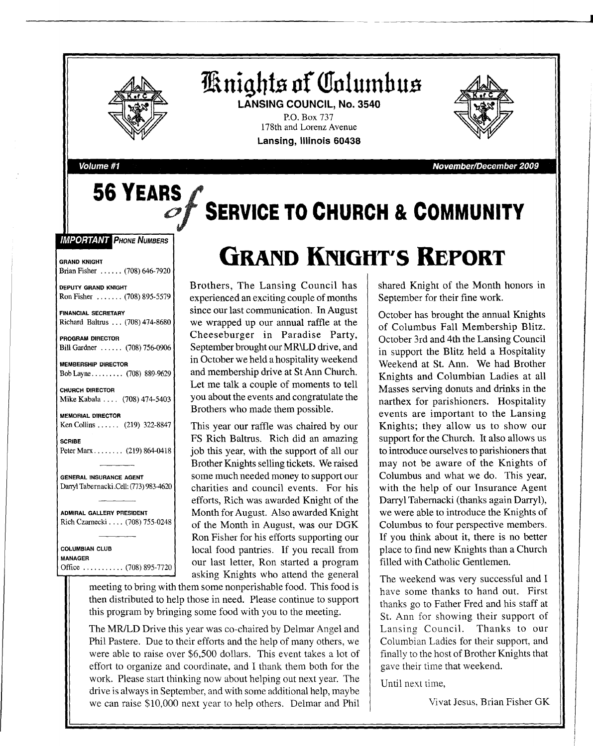

**56 YEARS**

**HRnight.a of QTnlutnbus LANSING COUNCIL, No. 3540**

P.O. Box 737 178th and Lorenz Avenue **Lansing, Illinois 60438**



**Volume #1 November/December 2009**

# **SERVICE TO CHURCH & COMMUNITY**

**IMPORTANT PHONE NUMBERS** 

GRAND KNIGHT Brian Fisher ...... (708) 646-7920

DEPUTY GRAND KNIGHT Ron Fisher ...... (708) 895-5579

FINANCIAL SECRETARY Richard Baltrus ... (708) 474-8680

PROGRAM DIRECTOR Bill Gardner ...... (708) 756-0906

MEMBERSHIP DIRECTOR Bob Layne  $\ldots \ldots \ldots$  (708) 889-9629

CHURCH DIRECTOR Mike Kabala .... (708) 474-5403

MEMORIAL DIRECTOR Ken Collins ..... (219) 322-8847

SCRIBE Peter Marx . . . . . . . . (219) 864-0418

GENERAL INSURANCE AGENT Darryl Tabernacki .Cell: (773) 983-4620

ADMIRAL GALLERY PRESIDENT Rich Czarnecki .... (708) 755-0248

COLUMBIAN CLUB MANAGER Office  $\ldots \ldots \ldots (708) 895-7720$ 

# **GRAND KNIGHT'S REPORT**

Brothers, The Lansing Council has experienced an exciting couple of months since our last communication. In August we wrapped up our annual raffle at the Cheeseburger in Paradise Party, September brought our MR\LD drive, and in October we held a hospitality weekend and membership drive at St Ann Church. Let me talk a couple of moments to tell you about the events and congratulate the Brothers who made them possible.

This year our raffle was chaired by our FS Rich Baltrus. Rich did an amazing job this year, with the support of all our Brother Knights selling tickets. We raised some much needed money to support our charities and council events. For his efforts, Rich was awarded Knight of the Month for August. Also awarded Knight of the Month in August, was our DGK Ron Fisher for his efforts supporting our local food pantries. If you recall from our last letter, Ron started a program asking Knights who attend the general

meeting to bring with them some nonperishable food. This food is then distributed to help those in need. Please continue to support this program by bringing some food with you to the meeting.

The MR/LD Drive this year was co-chaired by Delmar Angel and Phil Pastere. Due to their efforts and the help of many others, we were able to raise over \$6,500 dollars. This event takes a lot of effort to organize and coordinate, and I thank them both for the work. Please start thinking now about helping out next year. The drive is always in September, and with some additional help, maybe we can raise \$10,000 next year to help others. Delmar and Phil shared Knight of the Month honors in September for their fine work.

October has brought the annual Knights of Columbus Fall Membership Blitz. October 3rd and 4th the Lansing Council in support the Blitz held a Hospitality Weekend at St. Ann. We had Brother Knights and Columbian Ladies at all Masses serving donuts and drinks in the narthex for parishioners. Hospitality events are important to the Lansing Knights; they allow us to show our support for the Church. It also allows us to introduce ourselves to parishioners that may not be aware of the Knights of Columbus and what we do. This year, with the help of our Insurance Agent Darryl Tabernacki (thanks again Darryl), we were able to introduce the Knights of Columbus to four perspective members. If you think about it, there is no better place to find new Knights than a Church filled with Catholic Gentlemen.

The weekend was very successful and I have some thanks to hand out. First thanks go to Father Fred and his staff at St. Ann for showing their support of Lansing Council. Thanks to our Columbian Ladies for their support, and finally to the host of Brother Knights that gave their time that weekend.

Until next time,

Vivat Jesus, Brian Fisher GK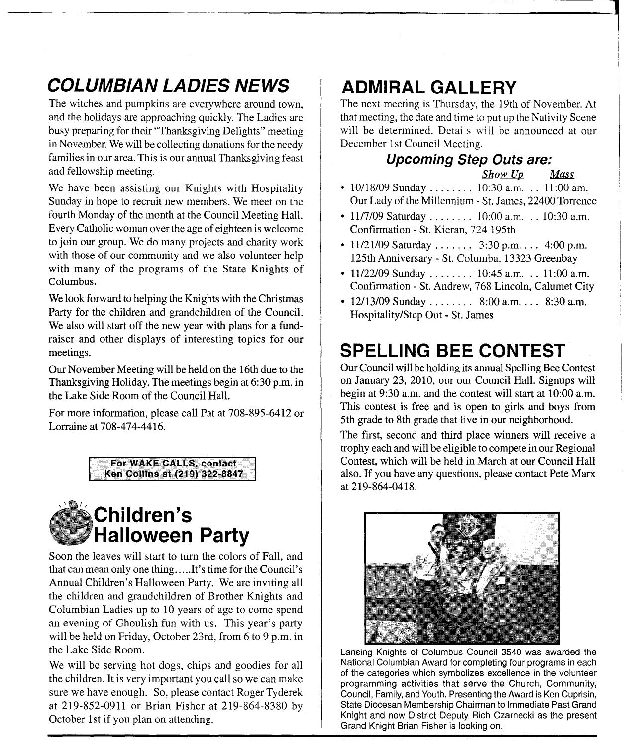### **COLUMBIAN LADIES NEWS**

The witches and pumpkins are everywhere around town, and the holidays are approaching quickly. The Ladies are busy preparing for their "Thanksgiving Delights" meeting in November. We will be collecting donations for the needy families in our area. This is our annual Thanksgiving feast and fellowship meeting.

We have been assisting our Knights with Hospitality Sunday in hope to recruit new members. We meet on the fourth Monday of the month at the Council Meeting Hall. Every Catholic woman over the age of eighteen is welcome to join our group. We do many projects and charity work with those of our community and we also volunteer help with many of the programs of the State Knights of Columbus.

We look forward to helping the Knights with the Christmas Party for the children and grandchildren of the Council. We also will start off the new year with plans for a fundraiser and other displays of interesting topics for our meetings.

Our November Meeting will be held on the 16th due to the Thanksgiving Holiday. The meetings begin at 6:30 p.m. in the Lake Side Room of the Council Hall.

For more information, please call Pat at 708-895-6412 or Lorraine at 708-474-4416.





Soon the leaves will start to turn the colors of Fall, and that can mean only one thing.....It's time for the Council's Annual Children's Halloween Party. We are inviting all the children and grandchildren of Brother Knights and Columbian Ladies up to 10 years of age to come spend an evening of Ghoulish fun with us. This year's party will be held on Friday, October 23rd, from 6 to 9 p.m. in the Lake Side Room.

We will be serving hot dogs, chips and goodies for all the children. It is very important you call so we can make sure we have enough. So, please contact Roger Tyderek at 219-852-0911 or Brian Fisher at 219-864-8380 by October 1st if you plan on attending.

### **ADMIRAL GALLERY**

The next meeting is Thursday. the 19th of November. At that meeting, the date and time to put up the Nativity Scene will be determined. Details will be announced at our December 1st Council Meeting.

## **Upcoming Step Outs are:**

*Show Up* 

I

- 10/18/09 Sunday ....... 10:30 a.m. .. 11:00 am. Our Lady of the Millennium - St. James, 22400 Torrence
- 11/7/09 Saturday . . . . . . . . 10:00 a.m. . . 10:30 a.m. Confirmation - St. Kieran, 724 195th
- $11/21/09$  Saturday ......  $3:30$  p.m. ...  $4:00$  p.m. 125th Anniversary - St. Columba, 13323 Greenbay
- $11/22/09$  Sunday ....... 10:45 a.m. .. 11:00 a.m. Confirmation - St. Andrew, 768 Lincoln, Calumet City
- 12/13/09 Sunday ........ 8:00 a.m. ... 8:30 a.m. Hospitality/Step Out - St. James

### **SPELLING BEE CONTEST**

Our Council will be holding its annual Spelling Bee Contest on January 23, 2010, our our Council Hall. Signups will begin at 9:30 a.m. and the contest will start at 10:00 a.m. This contest is free and is open to girls and boys from 5th grade to 8th grade that live in our neighborhood.

The first, second and third place winners will receive a trophy each and will be eligible to compete in our Regional Contest, which will be held in March at our Council Hall also. If you have any questions, please contact Pete Marx at 219-864-0418.



Lansing Knights of Columbus Council 3540 was awarded the National Columbian Award for completing four programs in each of the categories which symbolizes excellence in the volunteer programming activities that serve the Church, Community, Council, Family, and Youth. Presenting the Award is Ken Cuprisin, State Diocesan Membership Chairman to Immediate Past Grand Knight and now District Deputy Rich Czarnecki as the present Grand Knight Brian Fisher is looking on.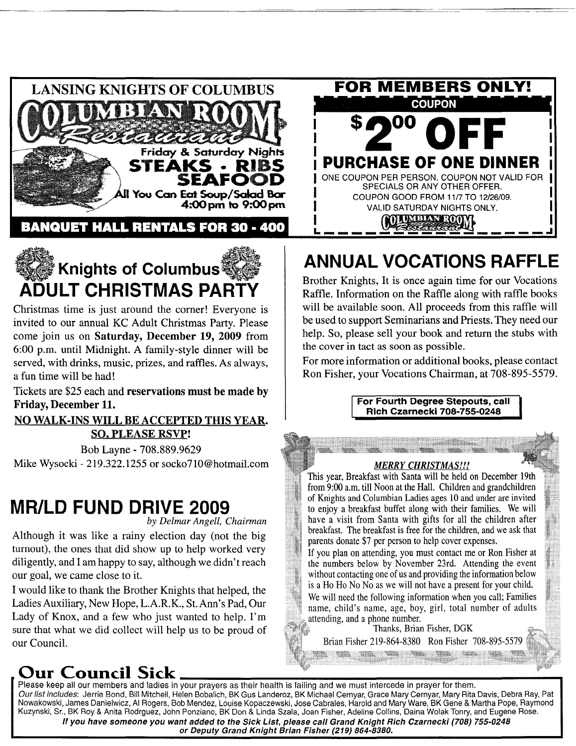

**BANQUET HALL RENTALS FOR 30 - 400** 



Christmas time is just around the comer! Everyone is invited to our annual KC Adult Christmas Party. Please come join us on Saturday, December 19, 2009 from 6:00 p.m. until Midnight. A family-style dinner will be served, with drinks, music, prizes, and raffles. As always, a fun time will be had!

Tickets are \$25 each and reservations must be made by Friday, December 11.

#### NO WALK-INS WILL BE ACCEPTED THIS YEAR. SO. PLEASE RSVP!

Bob Layne - 708.889.9629 Mike Wysocki - 219.322.1255 or socko710@hotmail.com

#### MR/LD FUND DRIVE 2009

by *Delmar Angell, Chairman*

Although it was like a rainy election day (not the big turnout), the ones that did show up to help worked very diligently, and I am happy to say, although we didn't reach our goal, we came close to it.

I would like to thank the Brother Knights that helped, the Ladies Auxiliary, New Hope, L.A.R.K., St. Ann's Pad, Our Lady of Knox, and a few who just wanted to help. I'm sure that what we did collect will help us to be proud of our Council.



### ANNUAL VOCATIONS RAFFLE

Brother Knights, It is once again time for our Vocations Raffle. Information on the Raffle along with raffle books will be available soon. All proceeds from this raffle will be used to support Seminarians and Priests. They need our help. So, please sell your book and return the stubs with the cover in tact as soon as possible.

For more information or additional books, please contact Ron Fisher, your Vocations Chairman, at 708-895-5579.

> For Fourth Degree Stepouts, call Rich Czarnecki 708-755-0248

#### *MERRY CHRISTMAS!!!*

This year, Breakfast with Santa will be held on December 19th from 9:00 a.m. till Noon at the Hall. Children and grandchildren of Knights and Columbian Ladies ages 10 and under are invited to enjoy a breakfast buffet along with their families. We will have a visit from Santa with gifts for all the children after breakfast. The breakfast is free for the children, and we ask that parents donate \$7 per person to help cover expenses.

If you plan on attending, you must contact me or Ron Fisher at the numbers below by November 23rd. Attending the event without contacting one of us and providing the information below is a Ho Ho No No as we will not have a present for your child.

We will need the following information when you call; Families name, child's name, age, boy, girl, total number of adults attending, and a phone number.

Thanks, Brian Fisher, DGK Brian Fisher 219-864-8380 Ron Fisher 708-895-5579

Our Council Sick . Please keep all our members and ladies in your prayers as their health is failing and we must intercede in prayer for them. Our list includes: Jerrie Bond, Bill Mitchell, Helen Bobalich, BK Gus Landeroz, BK Michael Cernyar, Grace Mary Cernyar, Mary Rita Davis, Debra Ray, Pat Nowakowski, James Danielwicz, AI Rogers, Bob Mendez, Louise Kopaczewski, Jose Cabrales, Harold and Mary Ware, BK Gene & Martha Pope, Raymond Kuzynski, Sr., BK Roy & Anita Rodrguez, John Ponziano, BK Don & Linda Szala, Joan Fisher, Adeline Collins, Daina Wolak Tonry, and Eugene Rose. If you have someone you want added to the Sick List, please call Grand Knight Rich Czarnecki (708) 755-0248 or Deputy Grand Knight Brian Fisher (219) 864-8380.